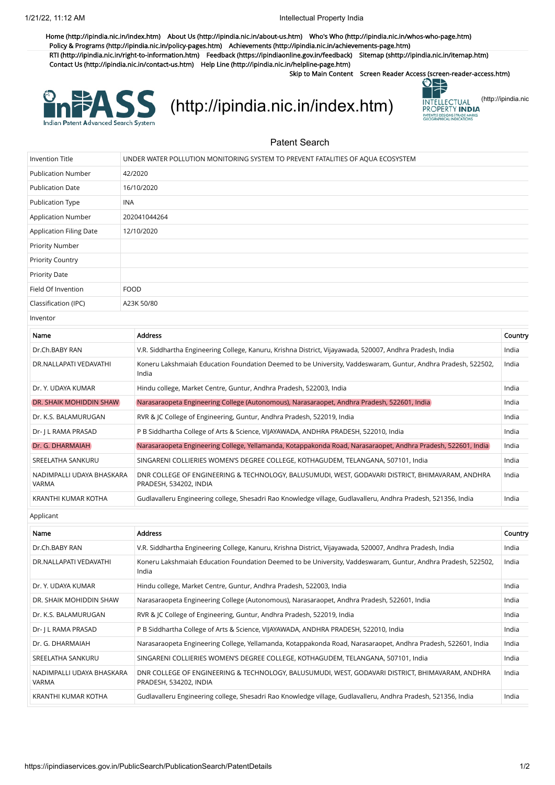[Home \(http://ipindia.nic.in/index.htm\)](http://ipindia.nic.in/index.htm) [About Us \(http://ipindia.nic.in/about-us.htm\)](http://ipindia.nic.in/about-us.htm) [Who's Who \(http://ipindia.nic.in/whos-who-page.htm\)](http://ipindia.nic.in/whos-who-page.htm) [Policy & Programs \(http://ipindia.nic.in/policy-pages.htm\)](http://ipindia.nic.in/policy-pages.htm) [Achievements \(http://ipindia.nic.in/achievements-page.htm\)](http://ipindia.nic.in/achievements-page.htm) [RTI \(http://ipindia.nic.in/right-to-information.htm\)](http://ipindia.nic.in/right-to-information.htm) [Feedback \(https://ipindiaonline.gov.in/feedback\)](https://ipindiaonline.gov.in/feedback) [Sitemap \(shttp://ipindia.nic.in/itemap.htm\)](shttp://ipindia.nic.in/itemap.htm) [Contact Us \(http://ipindia.nic.in/contact-us.htm\)](http://ipindia.nic.in/contact-us.htm) [Help Line \(http://ipindia.nic.in/helpline-page.htm\)](http://ipindia.nic.in/helpline-page.htm)

Skip to Main Content [Screen Reader Access \(screen-reader-access.htm\)](https://ipindiaservices.gov.in/PublicSearch/PublicationSearch/screen-reader-access.htm)

Indian Patent Advanced Search System

[\(http://ipindia.nic.in/index.htm\)](http://ipindia.nic.in/index.htm) **INTELLECTUAL [\(http://ipindia.nic](http://ipindia.nic.in/index.htm)** 



## Patent Search

| <b>Invention Title</b>                    | UNDER WATER POLLUTION MONITORING SYSTEM TO PREVENT FATALITIES OF AQUA ECOSYSTEM |                                                                                                                            |         |  |
|-------------------------------------------|---------------------------------------------------------------------------------|----------------------------------------------------------------------------------------------------------------------------|---------|--|
| <b>Publication Number</b>                 | 42/2020                                                                         |                                                                                                                            |         |  |
| <b>Publication Date</b>                   |                                                                                 | 16/10/2020                                                                                                                 |         |  |
| <b>Publication Type</b>                   | <b>INA</b>                                                                      |                                                                                                                            |         |  |
| <b>Application Number</b>                 | 202041044264                                                                    |                                                                                                                            |         |  |
| Application Filing Date                   | 12/10/2020                                                                      |                                                                                                                            |         |  |
| Priority Number                           |                                                                                 |                                                                                                                            |         |  |
| <b>Priority Country</b>                   |                                                                                 |                                                                                                                            |         |  |
| <b>Priority Date</b>                      |                                                                                 |                                                                                                                            |         |  |
| Field Of Invention                        |                                                                                 | <b>FOOD</b>                                                                                                                |         |  |
| Classification (IPC)                      |                                                                                 | A23K 50/80                                                                                                                 |         |  |
| Inventor                                  |                                                                                 |                                                                                                                            |         |  |
| Name                                      |                                                                                 | <b>Address</b>                                                                                                             | Country |  |
| Dr.Ch.BABY RAN                            |                                                                                 | V.R. Siddhartha Engineering College, Kanuru, Krishna District, Vijayawada, 520007, Andhra Pradesh, India                   | India   |  |
| DR.NALLAPATI VEDAVATHI                    |                                                                                 | Koneru Lakshmaiah Education Foundation Deemed to be University, Vaddeswaram, Guntur, Andhra Pradesh, 522502,<br>India      | India   |  |
| Dr. Y. UDAYA KUMAR                        |                                                                                 | Hindu college, Market Centre, Guntur, Andhra Pradesh, 522003, India                                                        | India   |  |
| DR. SHAIK MOHIDDIN SHAW                   |                                                                                 | Narasaraopeta Engineering College (Autonomous), Narasaraopet, Andhra Pradesh, 522601, India                                | India   |  |
| Dr. K.S. BALAMURUGAN                      |                                                                                 | RVR & JC College of Engineering, Guntur, Andhra Pradesh, 522019, India                                                     | India   |  |
| Dr- J L RAMA PRASAD                       |                                                                                 | P B Siddhartha College of Arts & Science, VIJAYAWADA, ANDHRA PRADESH, 522010, India                                        | India   |  |
| Dr. G. DHARMAIAH                          |                                                                                 | Narasaraopeta Engineering College, Yellamanda, Kotappakonda Road, Narasaraopet, Andhra Pradesh, 522601, India              | India   |  |
| SREELATHA SANKURU                         |                                                                                 | SINGARENI COLLIERIES WOMEN'S DEGREE COLLEGE, KOTHAGUDEM, TELANGANA, 507101, India                                          | India   |  |
| NADIMPALLI UDAYA BHASKARA<br><b>VARMA</b> |                                                                                 | DNR COLLEGE OF ENGINEERING & TECHNOLOGY, BALUSUMUDI, WEST, GODAVARI DISTRICT, BHIMAVARAM, ANDHRA<br>PRADESH, 534202, INDIA | India   |  |
| KRANTHI KUMAR KOTHA                       |                                                                                 | Gudlavalleru Engineering college, Shesadri Rao Knowledge village, Gudlavalleru, Andhra Pradesh, 521356, India              | India   |  |
| Applicant                                 |                                                                                 |                                                                                                                            |         |  |
| Name                                      |                                                                                 | <b>Address</b>                                                                                                             | Country |  |
| Dr.Ch.BABY RAN                            |                                                                                 | V.R. Siddhartha Engineering College, Kanuru, Krishna District, Vijayawada, 520007, Andhra Pradesh, India                   | India   |  |
| DR.NALLAPATI VEDAVATHI                    |                                                                                 | Koneru Lakshmaiah Education Foundation Deemed to be University, Vaddeswaram, Guntur, Andhra Pradesh, 522502,<br>India      | India   |  |
| Dr. Y. UDAYA KUMAR                        |                                                                                 | Hindu college, Market Centre, Guntur, Andhra Pradesh, 522003, India                                                        | India   |  |
| DR. SHAIK MOHIDDIN SHAW                   |                                                                                 | Narasaraopeta Engineering College (Autonomous), Narasaraopet, Andhra Pradesh, 522601, India                                | India   |  |
| Dr. K.S. BALAMURUGAN                      |                                                                                 | RVR & JC College of Engineering, Guntur, Andhra Pradesh, 522019, India                                                     | India   |  |
| Dr- J L RAMA PRASAD                       |                                                                                 | P B Siddhartha College of Arts & Science, VIJAYAWADA, ANDHRA PRADESH, 522010, India                                        | India   |  |
| Dr. G. DHARMAIAH                          |                                                                                 | Narasaraopeta Engineering College, Yellamanda, Kotappakonda Road, Narasaraopet, Andhra Pradesh, 522601, India              | India   |  |
| SREELATHA SANKURU                         |                                                                                 | SINGARENI COLLIERIES WOMEN'S DEGREE COLLEGE, KOTHAGUDEM, TELANGANA, 507101, India                                          | India   |  |
| NADIMPALLI UDAYA BHASKARA<br>VARMA        |                                                                                 | DNR COLLEGE OF ENGINEERING & TECHNOLOGY, BALUSUMUDI, WEST, GODAVARI DISTRICT, BHIMAVARAM, ANDHRA<br>PRADESH, 534202, INDIA | India   |  |
| KRANTHI KUMAR KOTHA                       |                                                                                 | Gudlavalleru Engineering college, Shesadri Rao Knowledge village, Gudlavalleru, Andhra Pradesh, 521356, India              | India   |  |